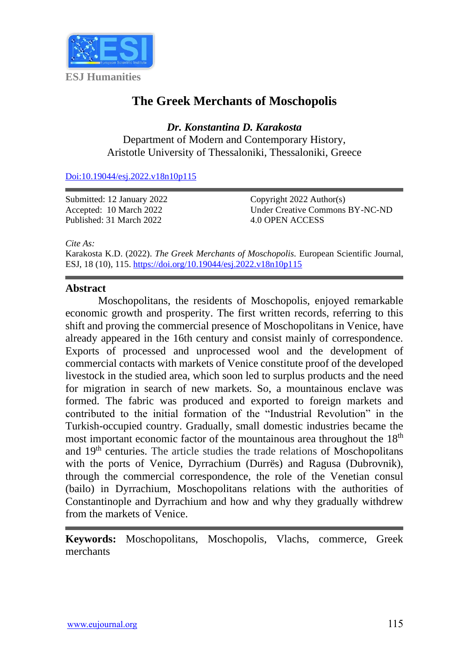

# **The Greek Merchants of Moschopolis**

*Dr. Konstantina D. Karakosta*

Department of Modern and Contemporary History, Aristotle University of Thessaloniki, Thessaloniki, Greece

[Doi:10.19044/esj.2022.v18n10p115](https://doi.org/10.19044/esj.2022.v18n10p115)

Submitted: 12 January 2022 Accepted: 10 March 2022 Published: 31 March 2022

Copyright 2022 Author(s) Under Creative Commons BY-NC-ND 4.0 OPEN ACCESS

*Cite As:*

Karakosta K.D. (2022). *The Greek Merchants of Moschopolis.* European Scientific Journal, ESJ, 18 (10), 115. <https://doi.org/10.19044/esj.2022.v18n10p115>

#### **Abstract**

Moschopolitans, the residents of Moschopolis, enjoyed remarkable economic growth and prosperity. The first written records, referring to this shift and proving the commercial presence of Moschopolitans in Venice, have already appeared in the 16th century and consist mainly of correspondence. Exports of processed and unprocessed wool and the development of commercial contacts with markets of Venice constitute proof of the developed livestock in the studied area, which soon led to surplus products and the need for migration in search of new markets. So, a mountainous enclave was formed. The fabric was produced and exported to foreign markets and contributed to the initial formation of the "Industrial Revolution" in the Turkish-occupied country. Gradually, small domestic industries became the most important economic factor of the mountainous area throughout the 18<sup>th</sup> and  $19<sup>th</sup>$  centuries. The article studies the trade relations of Moschopolitans with the ports of Venice, Dyrrachium (Durrës) and Ragusa (Dubrovnik), through the commercial correspondence, the role of the Venetian consul (bailo) in Dyrrachium, Moschopolitans relations with the authorities of Constantinople and Dyrrachium and how and why they gradually withdrew from the markets of Venice.

**Keywords:** Moschopolitans, Moschopolis, Vlachs, commerce, Greek merchants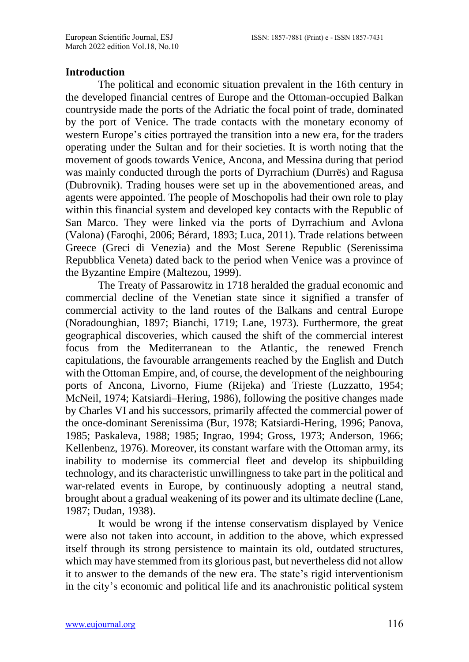### **Introduction**

The political and economic situation prevalent in the 16th century in the developed financial centres of Europe and the Ottoman-occupied Balkan countryside made the ports of the Adriatic the focal point of trade, dominated by the port of Venice. The trade contacts with the monetary economy of western Europe's cities portrayed the transition into a new era, for the traders operating under the Sultan and for their societies. It is worth noting that the movement of goods towards Venice, Ancona, and Messina during that period was mainly conducted through the ports of Dyrrachium (Durrës) and Ragusa (Dubrovnik). Trading houses were set up in the abovementioned areas, and agents were appointed. The people of Moschopolis had their own role to play within this financial system and developed key contacts with the Republic of San Marco. They were linked via the ports of Dyrrachium and Avlona (Valona) (Faroqhi, 2006; Bérard, 1893; Luca, 2011). Trade relations between Greece (Greci di Venezia) and the Most Serene Republic (Serenissima Repubblica Veneta) dated back to the period when Venice was a province of the Byzantine Empire (Maltezou, 1999).

The Treaty of Passarowitz in 1718 heralded the gradual economic and commercial decline of the Venetian state since it signified a transfer of commercial activity to the land routes of the Balkans and central Europe (Noradounghian, 1897; Bianchi, 1719; Lane, 1973). Furthermore, the great geographical discoveries, which caused the shift of the commercial interest focus from the Mediterranean to the Atlantic, the renewed French capitulations, the favourable arrangements reached by the English and Dutch with the Ottoman Empire, and, of course, the development of the neighbouring ports of Ancona, Livorno, Fiume (Rijeka) and Trieste (Luzzatto, 1954; McNeil, 1974; Katsiardi–Hering, 1986), following the positive changes made by Charles VI and his successors, primarily affected the commercial power of the once-dominant Serenissima (Bur, 1978; Katsiardi-Hering, 1996; Panova, 1985; Paskaleva, 1988; 1985; Ingrao, 1994; Gross, 1973; Anderson, 1966; Kellenbenz, 1976). Moreover, its constant warfare with the Ottoman army, its inability to modernise its commercial fleet and develop its shipbuilding technology, and its characteristic unwillingness to take part in the political and war-related events in Europe, by continuously adopting a neutral stand, brought about a gradual weakening of its power and its ultimate decline (Lane, 1987; Dudan, 1938).

It would be wrong if the intense conservatism displayed by Venice were also not taken into account, in addition to the above, which expressed itself through its strong persistence to maintain its old, outdated structures, which may have stemmed from its glorious past, but nevertheless did not allow it to answer to the demands of the new era. The state's rigid interventionism in the city's economic and political life and its anachronistic political system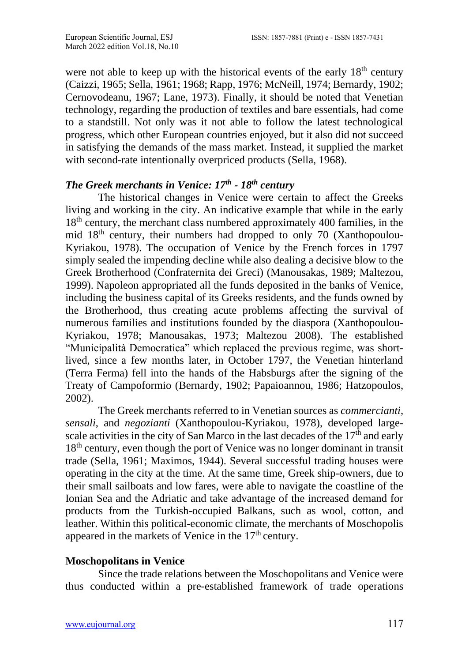were not able to keep up with the historical events of the early  $18<sup>th</sup>$  century (Caizzi, 1965; Sella, 1961; 1968; Rapp, 1976; McNeill, 1974; Bernardy, 1902; Cernovodeanu, 1967; Lane, 1973). Finally, it should be noted that Venetian technology, regarding the production of textiles and bare essentials, had come to a standstill. Not only was it not able to follow the latest technological progress, which other European countries enjoyed, but it also did not succeed in satisfying the demands of the mass market. Instead, it supplied the market with second-rate intentionally overpriced products (Sella, 1968).

## *The Greek merchants in Venice: 17th - 18th century*

The historical changes in Venice were certain to affect the Greeks living and working in the city. An indicative example that while in the early 18<sup>th</sup> century, the merchant class numbered approximately 400 families, in the mid 18th century, their numbers had dropped to only 70 (Xanthopoulou-Kyriakou, 1978). The occupation of Venice by the French forces in 1797 simply sealed the impending decline while also dealing a decisive blow to the Greek Brotherhood (Confraternita dei Greci) (Manousakas, 1989; Maltezou, 1999). Napoleon appropriated all the funds deposited in the banks of Venice, including the business capital of its Greeks residents, and the funds owned by the Brotherhood, thus creating acute problems affecting the survival of numerous families and institutions founded by the diaspora (Xanthopoulou-Kyriakou, 1978; Manousakas, 1973; Maltezou 2008). The established "Municipalità Democratica" which replaced the previous regime, was shortlived, since a few months later, in October 1797, the Venetian hinterland (Terra Ferma) fell into the hands of the Habsburgs after the signing of the Treaty of Campoformio (Bernardy, 1902; Papaioannou, 1986; Hatzopoulos, 2002).

The Greek merchants referred to in Venetian sources as *commercianti, sensali*, and *negozianti* (Xanthopoulou-Kyriakou, 1978), developed largescale activities in the city of San Marco in the last decades of the  $17<sup>th</sup>$  and early 18<sup>th</sup> century, even though the port of Venice was no longer dominant in transit trade (Sella, 1961; Maximos, 1944). Several successful trading houses were operating in the city at the time. At the same time, Greek ship-owners, due to their small sailboats and low fares, were able to navigate the coastline of the Ionian Sea and the Adriatic and take advantage of the increased demand for products from the Turkish-occupied Balkans, such as wool, cotton, and leather. Within this political-economic climate, the merchants of Moschopolis appeared in the markets of Venice in the  $17<sup>th</sup>$  century.

#### **Moschopolitans in Venice**

Since the trade relations between the Moschopolitans and Venice were thus conducted within a pre-established framework of trade operations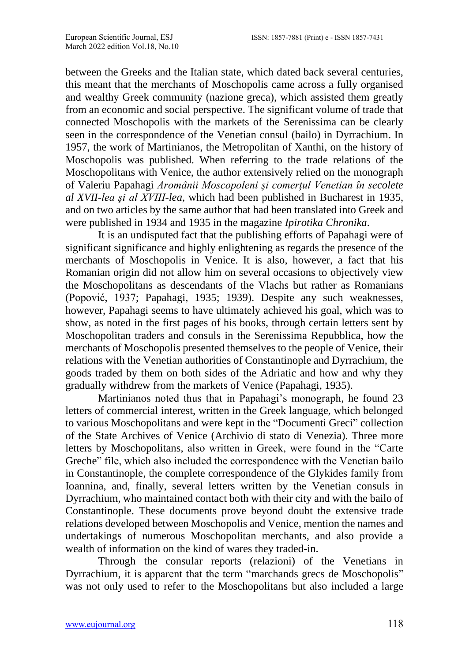between the Greeks and the Italian state, which dated back several centuries, this meant that the merchants of Moschopolis came across a fully organised and wealthy Greek community (nazione greca), which assisted them greatly from an economic and social perspective. The significant volume of trade that connected Moschopolis with the markets of the Serenissima can be clearly seen in the correspondence of the Venetian consul (bailo) in Dyrrachium. In 1957, the work of Martinianos, the Metropolitan of Xanthi, on the history of Moschopolis was published. When referring to the trade relations of the Moschopolitans with Venice, the author extensively relied on the monograph of Valeriu Papahagi *Aromânii Moscopoleni şi comerţul Venetian în secolete al XVII-lea şi al XVIII-lea*, which had been published in Bucharest in 1935, and on two articles by the same author that had been translated into Greek and were published in 1934 and 1935 in the magazine *Ipirotika Chronika*.

It is an undisputed fact that the publishing efforts of Papahagi were of significant significance and highly enlightening as regards the presence of the merchants of Moschopolis in Venice. It is also, however, a fact that his Romanian origin did not allow him on several occasions to objectively view the Moschopolitans as descendants of the Vlachs but rather as Romanians (Popović, 1937; Papahagi, 1935; 1939). Despite any such weaknesses, however, Papahagi seems to have ultimately achieved his goal, which was to show, as noted in the first pages of his books, through certain letters sent by Moschopolitan traders and consuls in the Serenissima Repubblica, how the merchants of Moschopolis presented themselves to the people of Venice, their relations with the Venetian authorities of Constantinople and Dyrrachium, the goods traded by them on both sides of the Adriatic and how and why they gradually withdrew from the markets of Venice (Papahagi, 1935).

Martinianos noted thus that in Papahagi's monograph, he found 23 letters of commercial interest, written in the Greek language, which belonged to various Moschopolitans and were kept in the "Documenti Greci" collection of the State Archives of Venice (Archivio di stato di Venezia). Three more letters by Moschopolitans, also written in Greek, were found in the "Carte Greche" file, which also included the correspondence with the Venetian bailo in Constantinople, the complete correspondence of the Glykides family from Ioannina, and, finally, several letters written by the Venetian consuls in Dyrrachium, who maintained contact both with their city and with the bailo of Constantinople. These documents prove beyond doubt the extensive trade relations developed between Moschopolis and Venice, mention the names and undertakings of numerous Moschopolitan merchants, and also provide a wealth of information on the kind of wares they traded-in.

Through the consular reports (relazioni) of the Venetians in Dyrrachium, it is apparent that the term "marchands grecs de Moschopolis" was not only used to refer to the Moschopolitans but also included a large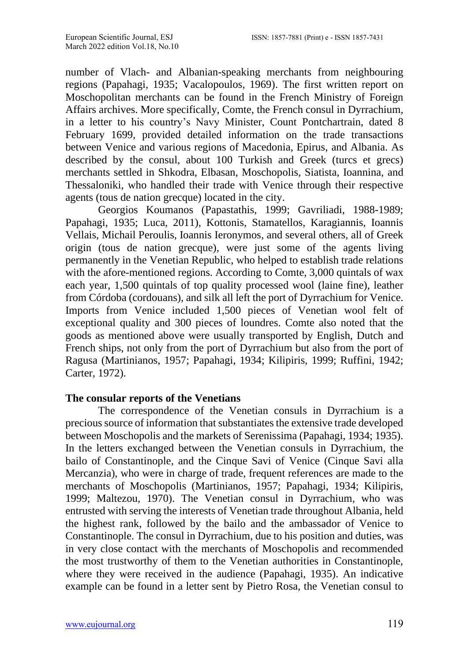number of Vlach- and Albanian-speaking merchants from neighbouring regions (Papahagi, 1935; Vacalopoulos, 1969). The first written report on Moschopolitan merchants can be found in the French Ministry of Foreign Affairs archives. More specifically, Comte, the French consul in Dyrrachium, in a letter to his country's Navy Minister, Count Pontchartrain, dated 8 February 1699, provided detailed information on the trade transactions between Venice and various regions of Macedonia, Epirus, and Albania. As described by the consul, about 100 Turkish and Greek (turcs et grecs) merchants settled in Shkodra, Elbasan, Moschopolis, Siatista, Ioannina, and Thessaloniki, who handled their trade with Venice through their respective agents (tous de nation grecque) located in the city.

Georgios Koumanos (Papastathis, 1999; Gavriliadi, 1988-1989; Papahagi, 1935; Luca, 2011), Kottonis, Stamatellos, Karagiannis, Ioannis Vellais, Michail Peroulis, Ioannis Ieronymos, and several others, all of Greek origin (tous de nation grecque), were just some of the agents living permanently in the Venetian Republic, who helped to establish trade relations with the afore-mentioned regions. According to Comte, 3,000 quintals of wax each year, 1,500 quintals of top quality processed wool (laine fine), leather from Córdoba (cordouans), and silk all left the port of Dyrrachium for Venice. Imports from Venice included 1,500 pieces of Venetian wool felt of exceptional quality and 300 pieces of loundres. Comte also noted that the goods as mentioned above were usually transported by English, Dutch and French ships, not only from the port of Dyrrachium but also from the port of Ragusa (Martinianos, 1957; Papahagi, 1934; Kilipiris, 1999; Ruffini, 1942; Carter, 1972).

### **The consular reports of the Venetians**

The correspondence of the Venetian consuls in Dyrrachium is a precious source of information that substantiates the extensive trade developed between Moschopolis and the markets of Serenissima (Papahagi, 1934; 1935). In the letters exchanged between the Venetian consuls in Dyrrachium, the bailo of Constantinople, and the Cinque Savi of Venice (Cinque Savi alla Mercanzia), who were in charge of trade, frequent references are made to the merchants of Moschopolis (Martinianos, 1957; Papahagi, 1934; Kilipiris, 1999; Maltezou, 1970). The Venetian consul in Dyrrachium, who was entrusted with serving the interests of Venetian trade throughout Albania, held the highest rank, followed by the bailo and the ambassador of Venice to Constantinople. The consul in Dyrrachium, due to his position and duties, was in very close contact with the merchants of Moschopolis and recommended the most trustworthy of them to the Venetian authorities in Constantinople, where they were received in the audience (Papahagi, 1935). An indicative example can be found in a letter sent by Pietro Rosa, the Venetian consul to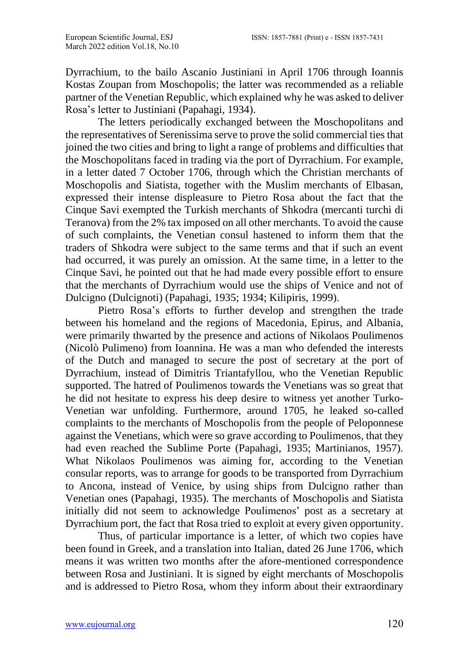Dyrrachium, to the bailo Ascanio Justiniani in April 1706 through Ioannis Kostas Zoupan from Moschopolis; the latter was recommended as a reliable partner of the Venetian Republic, which explained why he was asked to deliver Rosa's letter to Justiniani (Papahagi, 1934).

The letters periodically exchanged between the Moschopolitans and the representatives of Serenissima serve to prove the solid commercial ties that joined the two cities and bring to light a range of problems and difficulties that the Moschopolitans faced in trading via the port of Dyrrachium. For example, in a letter dated 7 October 1706, through which the Christian merchants of Moschopolis and Siatista, together with the Muslim merchants of Elbasan, expressed their intense displeasure to Pietro Rosa about the fact that the Cinque Savi exempted the Turkish merchants of Shkodra (mercanti turchi di Teranova) from the 2% tax imposed on all other merchants. To avoid the cause of such complaints, the Venetian consul hastened to inform them that the traders of Shkodra were subject to the same terms and that if such an event had occurred, it was purely an omission. At the same time, in a letter to the Cinque Savi, he pointed out that he had made every possible effort to ensure that the merchants of Dyrrachium would use the ships of Venice and not of Dulcigno (Dulcignoti) (Papahagi, 1935; 1934; Kilipiris, 1999).

Pietro Rosa's efforts to further develop and strengthen the trade between his homeland and the regions of Macedonia, Epirus, and Albania, were primarily thwarted by the presence and actions of Nikolaos Poulimenos (Nicolò Pulimeno) from Ioannina. He was a man who defended the interests of the Dutch and managed to secure the post of secretary at the port of Dyrrachium, instead of Dimitris Triantafyllou, who the Venetian Republic supported. The hatred of Poulimenos towards the Venetians was so great that he did not hesitate to express his deep desire to witness yet another Turko-Venetian war unfolding. Furthermore, around 1705, he leaked so-called complaints to the merchants of Moschopolis from the people of Peloponnese against the Venetians, which were so grave according to Poulimenos, that they had even reached the Sublime Porte (Papahagi, 1935; Martinianos, 1957). What Nikolaos Poulimenos was aiming for, according to the Venetian consular reports, was to arrange for goods to be transported from Dyrrachium to Ancona, instead of Venice, by using ships from Dulcigno rather than Venetian ones (Papahagi, 1935). The merchants of Moschopolis and Siatista initially did not seem to acknowledge Poulimenos' post as a secretary at Dyrrachium port, the fact that Rosa tried to exploit at every given opportunity.

Thus, of particular importance is a letter, of which two copies have been found in Greek, and a translation into Italian, dated 26 June 1706, which means it was written two months after the afore-mentioned correspondence between Rosa and Justiniani. It is signed by eight merchants of Moschopolis and is addressed to Pietro Rosa, whom they inform about their extraordinary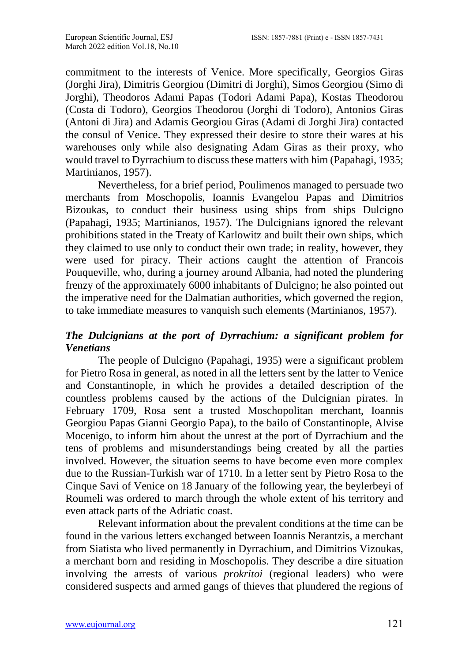commitment to the interests of Venice. More specifically, Georgios Giras (Jorghi Jira), Dimitris Georgiou (Dimitri di Jorghi), Simos Georgiou (Simo di Jorghi), Theodoros Adami Papas (Todori Adami Papa), Kostas Theodorou (Costa di Todoro), Georgios Theodorou (Jorghi di Todoro), Antonios Giras (Antoni di Jira) and Adamis Georgiou Giras (Adami di Jorghi Jira) contacted the consul of Venice. They expressed their desire to store their wares at his warehouses only while also designating Adam Giras as their proxy, who would travel to Dyrrachium to discuss these matters with him (Papahagi, 1935; Martinianos, 1957).

Nevertheless, for a brief period, Poulimenos managed to persuade two merchants from Moschopolis, Ioannis Evangelou Papas and Dimitrios Bizoukas, to conduct their business using ships from ships Dulcigno (Papahagi, 1935; Martinianos, 1957). The Dulcignians ignored the relevant prohibitions stated in the Treaty of Karlowitz and built their own ships, which they claimed to use only to conduct their own trade; in reality, however, they were used for piracy. Their actions caught the attention of Francois Pouqueville, who, during a journey around Albania, had noted the plundering frenzy of the approximately 6000 inhabitants of Dulcigno; he also pointed out the imperative need for the Dalmatian authorities, which governed the region, to take immediate measures to vanquish such elements (Martinianos, 1957).

# *The Dulcignians at the port of Dyrrachium: a significant problem for Venetians*

The people of Dulcigno (Papahagi, 1935) were a significant problem for Pietro Rosa in general, as noted in all the letters sent by the latter to Venice and Constantinople, in which he provides a detailed description of the countless problems caused by the actions of the Dulcignian pirates. In February 1709, Rosa sent a trusted Moschopolitan merchant, Ioannis Georgiou Papas Gianni Georgio Papa), to the bailo of Constantinople, Alvise Mocenigo, to inform him about the unrest at the port of Dyrrachium and the tens of problems and misunderstandings being created by all the parties involved. However, the situation seems to have become even more complex due to the Russian-Turkish war of 1710. In a letter sent by Pietro Rosa to the Cinque Savi of Venice on 18 January of the following year, the beylerbeyi of Roumeli was ordered to march through the whole extent of his territory and even attack parts of the Adriatic coast.

Relevant information about the prevalent conditions at the time can be found in the various letters exchanged between Ioannis Nerantzis, a merchant from Siatista who lived permanently in Dyrrachium, and Dimitrios Vizoukas, a merchant born and residing in Moschopolis. They describe a dire situation involving the arrests of various *prokritoi* (regional leaders) who were considered suspects and armed gangs of thieves that plundered the regions of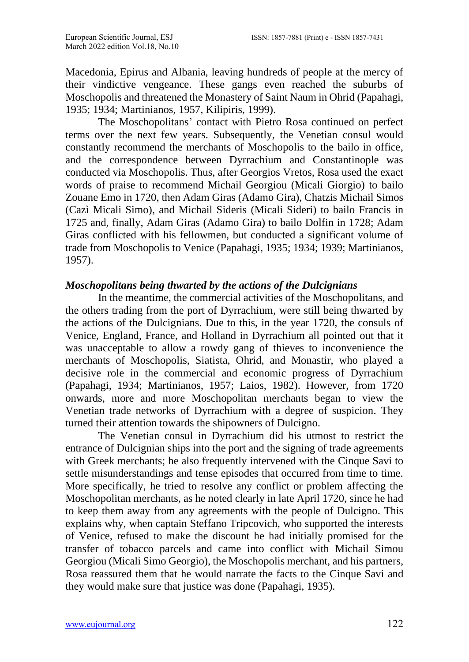Macedonia, Epirus and Albania, leaving hundreds of people at the mercy of their vindictive vengeance. These gangs even reached the suburbs of Moschopolis and threatened the Monastery of Saint Naum in Ohrid (Papahagi, 1935; 1934; Martinianos, 1957, Kilipiris, 1999).

The Moschopolitans' contact with Pietro Rosa continued on perfect terms over the next few years. Subsequently, the Venetian consul would constantly recommend the merchants of Moschopolis to the bailo in office, and the correspondence between Dyrrachium and Constantinople was conducted via Moschopolis. Thus, after Georgios Vretos, Rosa used the exact words of praise to recommend Michail Georgiou (Micali Giorgio) to bailo Zouane Emo in 1720, then Adam Giras (Adamo Gira), Chatzis Michail Simos (Cazì Micali Simo), and Michail Sideris (Micali Sideri) to bailo Francis in 1725 and, finally, Adam Giras (Adamo Gira) to bailo Dolfin in 1728; Adam Giras conflicted with his fellowmen, but conducted a significant volume of trade from Moschopolis to Venice (Papahagi, 1935; 1934; 1939; Martinianos, 1957).

### *Moschopolitans being thwarted by the actions of the Dulcignians*

In the meantime, the commercial activities of the Moschopolitans, and the others trading from the port of Dyrrachium, were still being thwarted by the actions of the Dulcignians. Due to this, in the year 1720, the consuls of Venice, England, France, and Holland in Dyrrachium all pointed out that it was unacceptable to allow a rowdy gang of thieves to inconvenience the merchants of Moschopolis, Siatista, Ohrid, and Monastir, who played a decisive role in the commercial and economic progress of Dyrrachium (Papahagi, 1934; Martinianos, 1957; Laios, 1982). However, from 1720 onwards, more and more Moschopolitan merchants began to view the Venetian trade networks of Dyrrachium with a degree of suspicion. They turned their attention towards the shipowners of Dulcigno.

The Venetian consul in Dyrrachium did his utmost to restrict the entrance of Dulcignian ships into the port and the signing of trade agreements with Greek merchants; he also frequently intervened with the Cinque Savi to settle misunderstandings and tense episodes that occurred from time to time. More specifically, he tried to resolve any conflict or problem affecting the Moschopolitan merchants, as he noted clearly in late April 1720, since he had to keep them away from any agreements with the people of Dulcigno. This explains why, when captain Steffano Tripcovich, who supported the interests of Venice, refused to make the discount he had initially promised for the transfer of tobacco parcels and came into conflict with Michail Simou Georgiou (Micali Simo Georgio), the Moschopolis merchant, and his partners, Rosa reassured them that he would narrate the facts to the Cinque Savi and they would make sure that justice was done (Papahagi, 1935).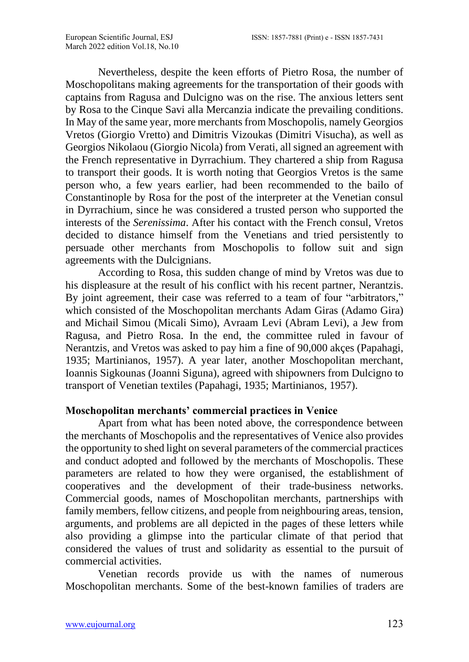Nevertheless, despite the keen efforts of Pietro Rosa, the number of Moschopolitans making agreements for the transportation of their goods with captains from Ragusa and Dulcigno was on the rise. The anxious letters sent by Rosa to the Cinque Savi alla Mercanzia indicate the prevailing conditions. In May of the same year, more merchants from Moschopolis, namely Georgios Vretos (Giorgio Vretto) and Dimitris Vizoukas (Dimitri Visucha), as well as Georgios Nikolaou (Giorgio Nicola) from Verati, all signed an agreement with the French representative in Dyrrachium. They chartered a ship from Ragusa to transport their goods. It is worth noting that Georgios Vretos is the same person who, a few years earlier, had been recommended to the bailo of Constantinople by Rosa for the post of the interpreter at the Venetian consul in Dyrrachium, since he was considered a trusted person who supported the interests of the *Serenissima*. After his contact with the French consul, Vretos decided to distance himself from the Venetians and tried persistently to persuade other merchants from Moschopolis to follow suit and sign agreements with the Dulcignians.

According to Rosa, this sudden change of mind by Vretos was due to his displeasure at the result of his conflict with his recent partner, Nerantzis. By joint agreement, their case was referred to a team of four "arbitrators," which consisted of the Moschopolitan merchants Adam Giras (Adamo Gira) and Michail Simou (Micali Simo), Avraam Levi (Abram Levi), a Jew from Ragusa, and Pietro Rosa. In the end, the committee ruled in favour of Nerantzis, and Vretos was asked to pay him a fine of 90,000 akçes (Papahagi, 1935; Martinianos, 1957). A year later, another Moschopolitan merchant, Ioannis Sigkounas (Joanni Siguna), agreed with shipowners from Dulcigno to transport of Venetian textiles (Papahagi, 1935; Martinianos, 1957).

### **Moschopolitan merchants' commercial practices in Venice**

Apart from what has been noted above, the correspondence between the merchants of Moschopolis and the representatives of Venice also provides the opportunity to shed light on several parameters of the commercial practices and conduct adopted and followed by the merchants of Moschopolis. These parameters are related to how they were organised, the establishment of cooperatives and the development of their trade-business networks. Commercial goods, names of Moschopolitan merchants, partnerships with family members, fellow citizens, and people from neighbouring areas, tension, arguments, and problems are all depicted in the pages of these letters while also providing a glimpse into the particular climate of that period that considered the values of trust and solidarity as essential to the pursuit of commercial activities.

Venetian records provide us with the names of numerous Moschopolitan merchants. Some of the best-known families of traders are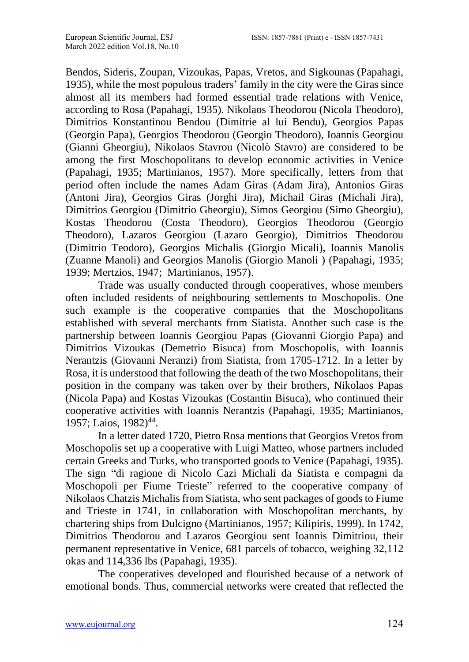Bendos, Sideris, Zoupan, Vizoukas, Papas, Vretos, and Sigkounas (Papahagi, 1935), while the most populous traders' family in the city were the Giras since almost all its members had formed essential trade relations with Venice, according to Rosa (Papahagi, 1935). Nikolaos Theodorou (Nicola Theodoro), Dimitrios Konstantinou Bendou (Dimitrie al lui Bendu), Georgios Papas (Georgio Papa), Georgios Theodorou (Georgio Theodoro), Ioannis Georgiou (Gianni Gheorgiu), Nikolaos Stavrou (Nicolò Stavro) are considered to be among the first Moschopolitans to develop economic activities in Venice (Papahagi, 1935; Martinianos, 1957). More specifically, letters from that period often include the names Adam Giras (Adam Jira), Antonios Giras (Antoni Jira), Georgios Giras (Jorghi Jira), Michail Giras (Michali Jira), Dimitrios Georgiou (Dimitrio Gheorgiu), Simos Georgiou (Simo Gheorgiu), Kostas Theodorou (Costa Theodoro), Georgios Theodorou (Georgio Theodoro), Lazaros Georgiou (Lazaro Georgio), Dimitrios Theodorou (Dimitrio Teodoro), Georgios Michalis (Giorgio Micali), Ioannis Manolis (Zuanne Manoli) and Georgios Manolis (Giorgio Manoli ) (Papahagi, 1935; 1939; Mertzios, 1947; Martinianos, 1957).

Trade was usually conducted through cooperatives, whose members often included residents of neighbouring settlements to Moschopolis. One such example is the cooperative companies that the Moschopolitans established with several merchants from Siatista. Another such case is the partnership between Ioannis Georgiou Papas (Giovanni Giorgio Papa) and Dimitrios Vizoukas (Demetrio Bisuca) from Moschopolis, with Ioannis Nerantzis (Giovanni Neranzi) from Siatista, from 1705-1712. In a letter by Rosa, it is understood that following the death of the two Moschopolitans, their position in the company was taken over by their brothers, Nikolaos Papas (Nicola Papa) and Kostas Vizoukas (Costantin Bisuca), who continued their cooperative activities with Ioannis Nerantzis (Papahagi, 1935; Martinianos, 1957; Laios, 1982)<sup>44</sup>.

In a letter dated 1720, Pietro Rosa mentions that Georgios Vretos from Moschopolis set up a cooperative with Luigi Matteo, whose partners included certain Greeks and Turks, who transported goods to Venice (Papahagi, 1935). The sign "di ragione di Nicolo Cazi Michali da Siatista e compagni da Moschopoli per Fiume Trieste" referred to the cooperative company of Nikolaos Chatzis Michalis from Siatista, who sent packages of goods to Fiume and Trieste in 1741, in collaboration with Moschopolitan merchants, by chartering ships from Dulcigno (Martinianos, 1957; Kilipiris, 1999). In 1742, Dimitrios Theodorou and Lazaros Georgiou sent Ioannis Dimitriou, their permanent representative in Venice, 681 parcels of tobacco, weighing 32,112 okas and 114,336 lbs (Papahagi, 1935).

The cooperatives developed and flourished because of a network of emotional bonds. Thus, commercial networks were created that reflected the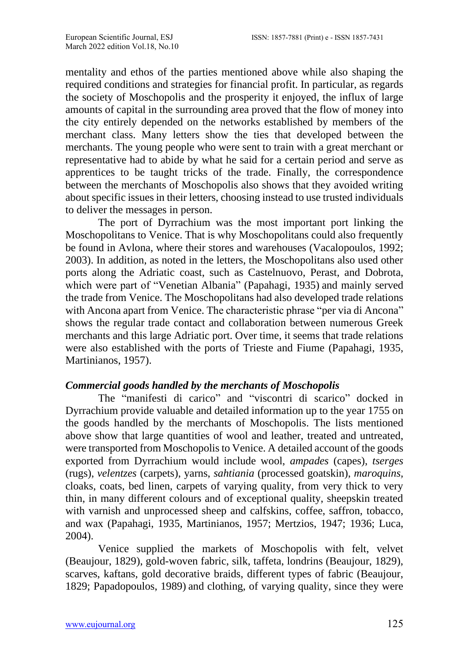mentality and ethos of the parties mentioned above while also shaping the required conditions and strategies for financial profit. In particular, as regards the society of Moschopolis and the prosperity it enjoyed, the influx of large amounts of capital in the surrounding area proved that the flow of money into the city entirely depended on the networks established by members of the merchant class. Many letters show the ties that developed between the merchants. The young people who were sent to train with a great merchant or representative had to abide by what he said for a certain period and serve as apprentices to be taught tricks of the trade. Finally, the correspondence between the merchants of Moschopolis also shows that they avoided writing about specific issues in their letters, choosing instead to use trusted individuals to deliver the messages in person.

The port of Dyrrachium was the most important port linking the Moschopolitans to Venice. That is why Moschopolitans could also frequently be found in Avlona, where their stores and warehouses (Vacalopoulos, 1992; 2003). In addition, as noted in the letters, the Moschopolitans also used other ports along the Adriatic coast, such as Castelnuovo, Perast, and Dobrota, which were part of "Venetian Albania" (Papahagi, 1935) and mainly served the trade from Venice. The Moschopolitans had also developed trade relations with Ancona apart from Venice. The characteristic phrase "per via di Ancona" shows the regular trade contact and collaboration between numerous Greek merchants and this large Adriatic port. Over time, it seems that trade relations were also established with the ports of Trieste and Fiume (Papahagi, 1935, Martinianos, 1957).

#### *Commercial goods handled by the merchants of Moschopolis*

Τhe "manifesti di carico" and "viscontri di scarico" docked in Dyrrachium provide valuable and detailed information up to the year 1755 on the goods handled by the merchants of Moschopolis. The lists mentioned above show that large quantities of wool and leather, treated and untreated, were transported from Moschopolis to Venice. A detailed account of the goods exported from Dyrrachium would include wool, *ampades* (capes), *tserges*  (rugs), *velentzes* (carpets), yarns, *sahtiania* (processed goatskin), *maroquins,*  cloaks, coats, bed linen, carpets of varying quality, from very thick to very thin, in many different colours and of exceptional quality, sheepskin treated with varnish and unprocessed sheep and calfskins, coffee, saffron, tobacco, and wax (Papahagi, 1935, Martinianos, 1957; Mertzios, 1947; 1936; Luca, 2004).

Venice supplied the markets of Moschopolis with felt, velvet (Beaujour, 1829), gold-woven fabric, silk, taffeta, londrins (Beaujour, 1829), scarves, kaftans, gold decorative braids, different types of fabric (Beaujour, 1829; Papadopoulos, 1989) and clothing, of varying quality, since they were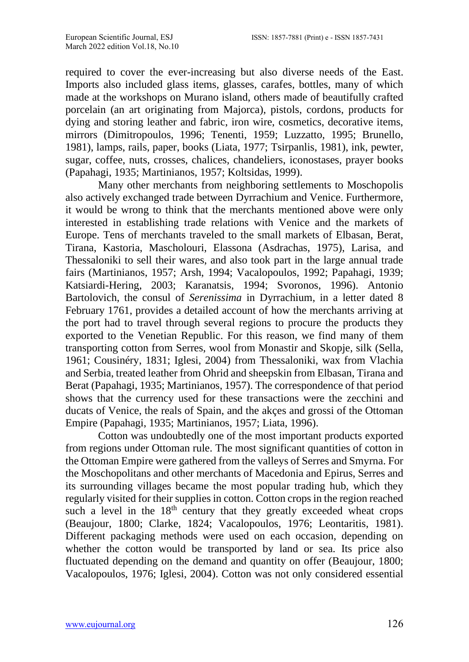required to cover the ever-increasing but also diverse needs of the East. Imports also included glass items, glasses, carafes, bottles, many of which made at the workshops on Murano island, others made of beautifully crafted porcelain (an art originating from Majorca), pistols, cordons, products for dying and storing leather and fabric, iron wire, cosmetics, decorative items, mirrors (Dimitropoulos, 1996; Tenenti, 1959; Luzzatto, 1995; Brunello, 1981), lamps, rails, paper, books (Liata, 1977; Tsirpanlis, 1981), ink, pewter, sugar, coffee, nuts, crosses, chalices, chandeliers, iconostases, prayer books (Papahagi, 1935; Martinianos, 1957; Koltsidas, 1999).

Many other merchants from neighboring settlements to Moschopolis also actively exchanged trade between Dyrrachium and Venice. Furthermore, it would be wrong to think that the merchants mentioned above were only interested in establishing trade relations with Venice and the markets of Europe. Tens of merchants traveled to the small markets of Elbasan, Berat, Tirana, Kastoria, Mascholouri, Elassona (Asdrachas, 1975), Larisa, and Thessaloniki to sell their wares, and also took part in the large annual trade fairs (Martinianos, 1957; Arsh, 1994; Vacalopoulos, 1992; Papahagi, 1939; Katsiardi-Hering, 2003; Karanatsis, 1994; Svoronos, 1996). Antonio Bartolovich, the consul of *Serenissima* in Dyrrachium, in a letter dated 8 February 1761, provides a detailed account of how the merchants arriving at the port had to travel through several regions to procure the products they exported to the Venetian Republic. For this reason, we find many of them transporting cotton from Serres, wool from Monastir and Skopje, silk (Sella, 1961; Cousinéry, 1831; Iglesi, 2004) from Thessaloniki, wax from Vlachia and Serbia, treated leather from Ohrid and sheepskin from Elbasan, Tirana and Berat (Papahagi, 1935; Martinianos, 1957). The correspondence of that period shows that the currency used for these transactions were the zecchini and ducats of Venice, the reals of Spain, and the akçes and grossi of the Ottoman Empire (Papahagi, 1935; Martinianos, 1957; Liata, 1996).

Cotton was undoubtedly one of the most important products exported from regions under Ottoman rule. The most significant quantities of cotton in the Ottoman Empire were gathered from the valleys of Serres and Smyrna. For the Moschopolitans and other merchants of Macedonia and Epirus, Serres and its surrounding villages became the most popular trading hub, which they regularly visited for their supplies in cotton. Cotton crops in the region reached such a level in the  $18<sup>th</sup>$  century that they greatly exceeded wheat crops (Beaujour, 1800; Clarke, 1824; Vacalopoulos, 1976; Leontaritis, 1981). Different packaging methods were used on each occasion, depending on whether the cotton would be transported by land or sea. Its price also fluctuated depending on the demand and quantity on offer (Beaujour, 1800; Vacalopoulos, 1976; Iglesi, 2004). Cotton was not only considered essential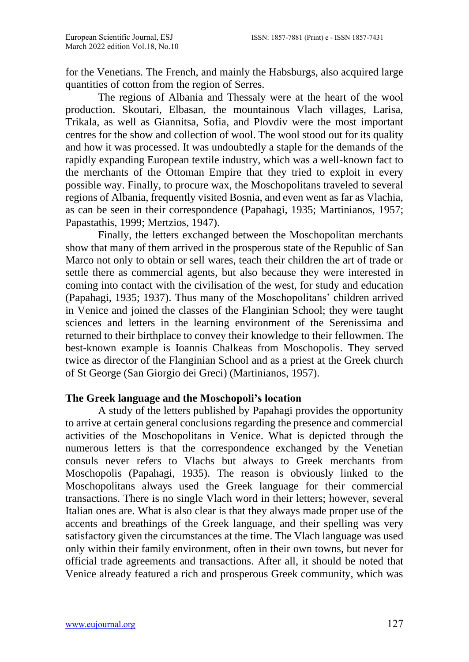for the Venetians. The French, and mainly the Habsburgs, also acquired large quantities of cotton from the region of Serres.

The regions of Albania and Thessaly were at the heart of the woοl production. Skoutari, Elbasan, the mountainous Vlach villages, Larisa, Trikala, as well as Giannitsa, Sofia, and Plovdiv were the most important centres for the show and collection of wool. The wool stood out for its quality and how it was processed. It was undoubtedly a staple for the demands of the rapidly expanding European textile industry, which was a well-known fact to the merchants of the Ottoman Empire that they tried to exploit in every possible way. Finally, to procure wax, the Moschopolitans traveled to several regions of Albania, frequently visited Bosnia, and even went as far as Vlachia, as can be seen in their correspondence (Papahagi, 1935; Martinianos, 1957; Papastathis, 1999; Mertzios, 1947).

Finally, the letters exchanged between the Moschopolitan merchants show that many of them arrived in the prosperous state of the Republic of San Marco not only to obtain or sell wares, teach their children the art of trade or settle there as commercial agents, but also because they were interested in coming into contact with the civilisation of the west, for study and education (Papahagi, 1935; 1937). Thus many of the Moschopolitans' children arrived in Venice and joined the classes of the Flanginian School; they were taught sciences and letters in the learning environment of the Serenissima and returned to their birthplace to convey their knowledge to their fellowmen. The best-known example is Ioannis Chalkeas from Moschopolis. They served twice as director of the Flanginian School and as a priest at the Greek church of St George (San Giorgio dei Greci) (Martinianos, 1957).

# **The Greek language and the Moschopoli's location**

A study of the letters published by Papahagi provides the opportunity to arrive at certain general conclusions regarding the presence and commercial activities of the Moschopolitans in Venice. What is depicted through the numerous letters is that the correspondence exchanged by the Venetian consuls never refers to Vlachs but always to Greek merchants from Moschopolis (Papahagi, 1935). The reason is obviously linked to the Moschopolitans always used the Greek language for their commercial transactions. There is no single Vlach word in their letters; however, several Italian ones are. What is also clear is that they always made proper use of the accents and breathings of the Greek language, and their spelling was very satisfactory given the circumstances at the time. The Vlach language was used only within their family environment, often in their own towns, but never for official trade agreements and transactions. After all, it should be noted that Venice already featured a rich and prosperous Greek community, which was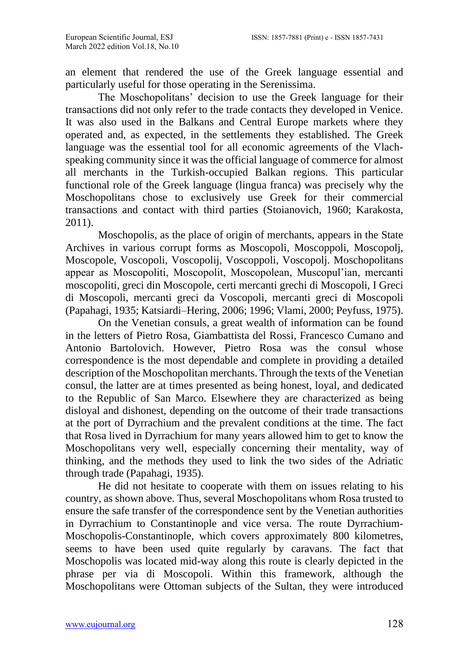an element that rendered the use of the Greek language essential and particularly useful for those operating in the Serenissima.

The Moschopolitans' decision to use the Greek language for their transactions did not only refer to the trade contacts they developed in Venice. It was also used in the Balkans and Central Europe markets where they operated and, as expected, in the settlements they established. The Greek language was the essential tool for all economic agreements of the Vlachspeaking community since it was the official language of commerce for almost all merchants in the Turkish-occupied Balkan regions. This particular functional role of the Greek language (lingua franca) was precisely why the Moschopolitans chose to exclusively use Greek for their commercial transactions and contact with third parties (Stoianovich, 1960; Karakosta, 2011).

Moschopolis, as the place of origin of merchants, appears in the State Archives in various corrupt forms as Moscopoli, Moscopoli, Moscopoli, Moscopole, Voscopoli, Voscopolij, Voscoppoli, Voscopolj. Moschopolitans appear as Moscopoliti, Moscopolit, Moscopolean, Muscopul'ian, mercanti moscopoliti, greci din Moscopole, certi mercanti grechi di Moscopoli, I Greci di Moscopoli, mercanti greci da Voscopoli, mercanti greci di Moscopoli (Papahagi, 1935; Katsiardi–Hering, 2006; 1996; Vlami, 2000; Peyfuss, 1975).

On the Venetian consuls, a great wealth of information can be found in the letters of Pietro Rosa, Giambattista del Rossi, Francesco Cumano and Antonio Bartolovich. However, Pietro Rosa was the consul whose correspondence is the most dependable and complete in providing a detailed description of the Moschopolitan merchants. Through the texts of the Venetian consul, the latter are at times presented as being honest, loyal, and dedicated to the Republic of San Marco. Elsewhere they are characterized as being disloyal and dishonest, depending on the outcome of their trade transactions at the port of Dyrrachium and the prevalent conditions at the time. The fact that Rosa lived in Dyrrachium for many years allowed him to get to know the Moschopolitans very well, especially concerning their mentality, way of thinking, and the methods they used to link the two sides of the Adriatic through trade (Papahagi, 1935).

He did not hesitate to cooperate with them on issues relating to his country, as shown above. Thus, several Moschopolitans whom Rosa trusted to ensure the safe transfer of the correspondence sent by the Venetian authorities in Dyrrachium to Constantinople and vice versa. The route Dyrrachium-Moschopolis-Constantinople, which covers approximately 800 kilometres, seems to have been used quite regularly by caravans. The fact that Moschopolis was located mid-way along this route is clearly depicted in the phrase per via di Moscopoli. Within this framework, although the Moschopolitans were Ottoman subjects of the Sultan, they were introduced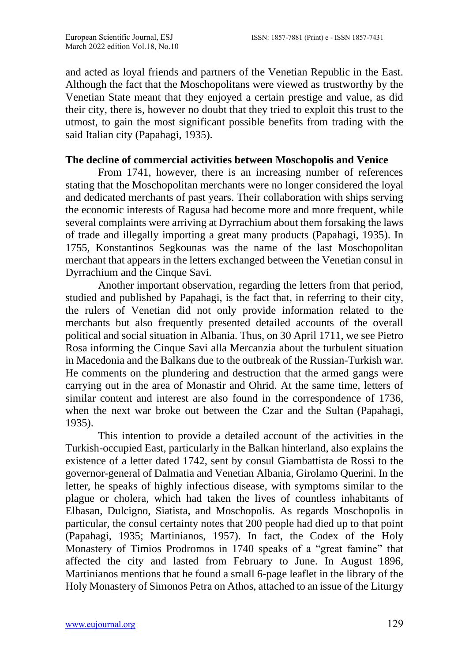and acted as loyal friends and partners of the Venetian Republic in the East. Although the fact that the Moschopolitans were viewed as trustworthy by the Venetian State meant that they enjoyed a certain prestige and value, as did their city, there is, however no doubt that they tried to exploit this trust to the utmost, to gain the most significant possible benefits from trading with the said Italian city (Papahagi, 1935).

#### **The decline of commercial activities between Moschopolis and Venice**

From 1741, however, there is an increasing number of references stating that the Moschopolitan merchants were no longer considered the loyal and dedicated merchants of past years. Their collaboration with ships serving the economic interests of Ragusa had become more and more frequent, while several complaints were arriving at Dyrrachium about them forsaking the laws of trade and illegally importing a great many products (Papahagi, 1935). In 1755, Konstantinos Segkounas was the name of the last Moschopolitan merchant that appears in the letters exchanged between the Venetian consul in Dyrrachium and the Cinque Savi.

Another important observation, regarding the letters from that period, studied and published by Papahagi, is the fact that, in referring to their city, the rulers of Venetian did not only provide information related to the merchants but also frequently presented detailed accounts of the overall political and social situation in Albania. Thus, on 30 April 1711, we see Pietro Rosa informing the Cinque Savi alla Mercanzia about the turbulent situation in Macedonia and the Balkans due to the outbreak of the Russian-Turkish war. He comments on the plundering and destruction that the armed gangs were carrying out in the area of Monastir and Ohrid. At the same time, letters of similar content and interest are also found in the correspondence of 1736, when the next war broke out between the Czar and the Sultan (Papahagi, 1935).

This intention to provide a detailed account of the activities in the Turkish-occupied East, particularly in the Balkan hinterland, also explains the existence of a letter dated 1742, sent by consul Giambattista de Rossi to the governor-general of Dalmatia and Venetian Albania, Girolamo Querini. In the letter, he speaks of highly infectious disease, with symptoms similar to the plague or cholera, which had taken the lives of countless inhabitants of Elbasan, Dulcigno, Siatista, and Moschopolis. As regards Moschopolis in particular, the consul certainty notes that 200 people had died up to that point (Papahagi, 1935; Martinianos, 1957). In fact, the Codex of the Holy Monastery of Timios Prodromos in 1740 speaks of a "great famine" that affected the city and lasted from February to June. In August 1896, Martinianos mentions that he found a small 6-page leaflet in the library of the Holy Monastery of Simonos Petra on Athos, attached to an issue of the Liturgy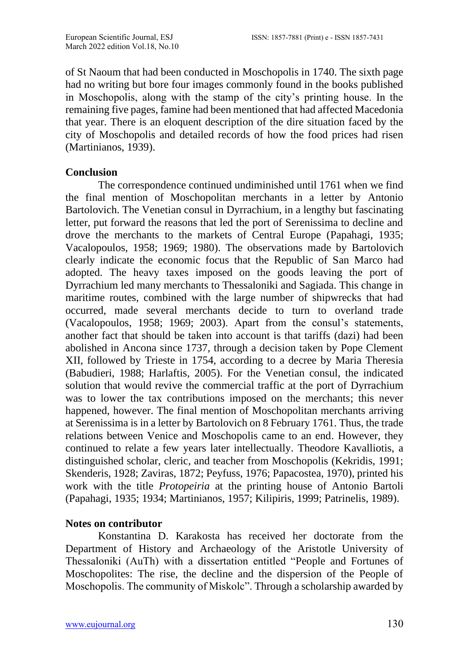of St Naoum that had been conducted in Moschopolis in 1740. The sixth page had no writing but bore four images commonly found in the books published in Moschopolis, along with the stamp of the city's printing house. In the remaining five pages, famine had been mentioned that had affected Macedonia that year. There is an eloquent description of the dire situation faced by the city of Moschopolis and detailed records of how the food prices had risen (Martinianos, 1939).

### **Conclusion**

The correspondence continued undiminished until 1761 when we find the final mention of Moschopolitan merchants in a letter by Antonio Bartolovich. The Venetian consul in Dyrrachium, in a lengthy but fascinating letter, put forward the reasons that led the port of Serenissima to decline and drove the merchants to the markets of Central Europe (Papahagi, 1935; Vacalopoulos, 1958; 1969; 1980). The observations made by Bartolovich clearly indicate the economic focus that the Republic of San Marco had adopted. The heavy taxes imposed on the goods leaving the port of Dyrrachium led many merchants to Thessaloniki and Sagiada. This change in maritime routes, combined with the large number of shipwrecks that had occurred, made several merchants decide to turn to overland trade (Vacalopoulos, 1958; 1969; 2003). Apart from the consul's statements, another fact that should be taken into account is that tariffs (dazi) had been abolished in Ancona since 1737, through a decision taken by Pope Clement XII, followed by Trieste in 1754, according to a decree by Maria Theresia (Babudieri, 1988; Harlaftis, 2005). For the Venetian consul, the indicated solution that would revive the commercial traffic at the port of Dyrrachium was to lower the tax contributions imposed on the merchants; this never happened, however. The final mention of Moschopolitan merchants arriving at Serenissima is in a letter by Bartolovich on 8 February 1761. Thus, the trade relations between Venice and Moschopolis came to an end. However, they continued to relate a few years later intellectually. Theodore Kavalliotis, a distinguished scholar, cleric, and teacher from Moschopolis (Kekridis, 1991; Skenderis, 1928; Zaviras, 1872; Peyfuss, 1976; Papacostea, 1970), printed his work with the title *Protopeiria* at the printing house of Antonio Bartoli (Papahagi, 1935; 1934; Martinianos, 1957; Kilipiris, 1999; Patrinelis, 1989).

### **Notes on contributor**

Konstantina D. Karakosta has received her doctorate from the Department of History and Archaeology of the Aristotle University of Thessaloniki (AuTh) with a dissertation entitled "People and Fortunes of Moschopolites: The rise, the decline and the dispersion of the People of Moschopolis. The community of Miskolc". Through a scholarship awarded by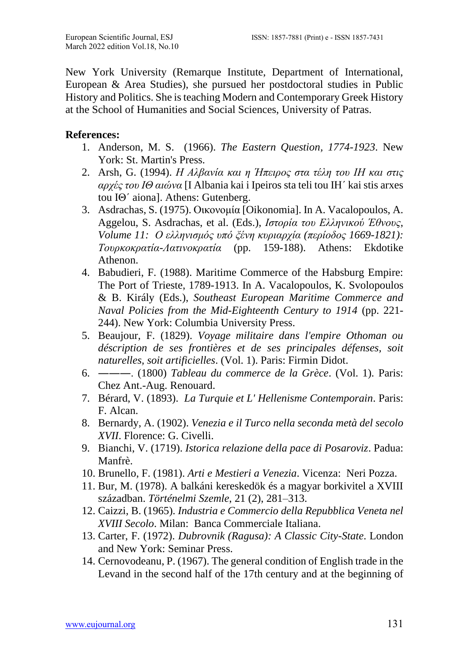New York University (Remarque Institute, Department of International, European & Area Studies), she pursued her postdoctoral studies in Public History and Politics. She is teaching Modern and Contemporary Greek History at the School of Humanities and Social Sciences, University of Patras.

## **References:**

- 1. Anderson, M. S. (1966). *The Eastern Question, 1774-1923*. New York: St. Martin's Press.
- 2. Arsh, G. (1994). *Η Αλβανία και η Ήπειρος στα τέλη του ΙΗ και στις αρχές του ΙΘ αιώνα* [I Albania kai i Ipeiros sta teli tou IΗ΄ kai stis arxes tou ΙΘ΄ aiona]. Athens: Gutenberg.
- 3. Asdrachas, S. (1975). Οικονομία [Oikonomia]. In A. Vacalopoulos, A. Aggelou, S. Asdrachas, et al. (Eds.), *Ιστορία του Ελληνικού Έθνους*, *Volume 11: Ο ελληνισμός υπό ξένη κυριαρχία (περίοδος 1669-1821): Τουρκοκρατία-Λατινοκρατία* (pp. 159-188). Athens: Ekdotike Athenon.
- 4. Babudieri, F. (1988). Maritime Commerce of the Habsburg Empire: The Port of Trieste, 1789-1913. In A. Vacalopoulos, K. Svolopoulos & B. Király (Eds.), *Southeast European Maritime Commerce and Naval Policies from the Mid-Eighteenth Century to 1914* (pp. 221- 244). New York: Columbia University Press.
- 5. Beaujour, F. (1829). *Voyage militaire dans l'empire Othoman ou déscription de ses frontières et de ses principales défenses, soit naturelles, soit artificielles*. (Vol. 1). Paris: Firmin Didot.
- 6. ―――. (1800) *Tableau du commerce de la Grèce*. (Vol. 1). Paris: Chez Ant.-Aug. Renouard.
- 7. Bérard, V. (1893). *La Turquie et L' Hellenisme Contemporain*. Paris: F. Alcan.
- 8. Bernardy, A. (1902). *Venezia e il Turco nella seconda metà del secolo XVII*. Florence: G. Civelli.
- 9. Bianchi, V. (1719). *Istorica relazione della pace di Posaroviz*. Padua: Manfrè.
- 10. Brunello, F. (1981). *Arti e Mestieri a Venezia*. Vicenza: Neri Pozza.
- 11. Bur, M. (1978). A balkáni kereskedök és a magyar borkivitel a XVIII században. *Történelmi Szemle*, 21 (2), 281–313.
- 12. Caizzi, B. (1965). *Industria e Commercio della Repubblica Veneta nel XVIII Secolo*. Milan: Banca Commerciale Italiana.
- 13. Carter, F. (1972). *Dubrovnik (Ragusa): A Classic City-State*. London and New York: Seminar Press.
- 14. Cernovodeanu, P. (1967). The general condition of English trade in the Levand in the second half of the 17th century and at the beginning of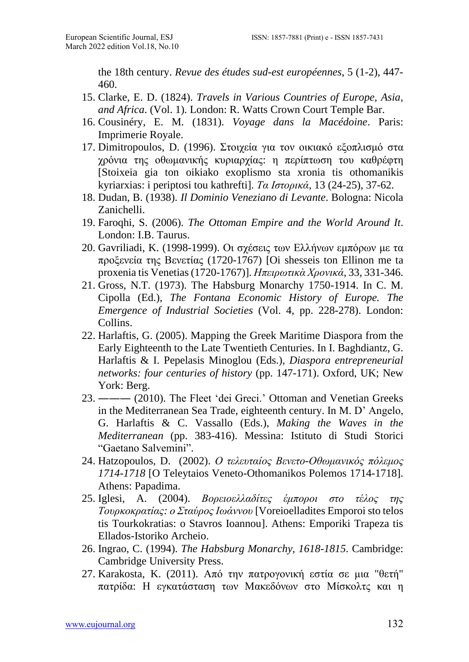the 18th century. *Revue des études sud-est européennes*, 5 (1-2), 447- 460.

- 15. Clarke, E. D. (1824). *Travels in Various Countries of Europe, Asia, and Africa*. (Vol. 1). London: R. Watts Crown Court Temple Bar.
- 16. Cousinéry, E. M. (1831). *Voyage dans la Macédoine*. Paris: Imprimerie Royale.
- 17. Dimitropoulos, D. (1996). Στοιχεία για τον οικιακό εξοπλισμό στα χρόνια της οθωμανικής κυριαρχίας: η περίπτωση του καθρέφτη [Stoixeia gia ton oikiako exoplismo sta xronia tis othomanikis kyriarxias: i periptosi tou kathrefti]. *Τα Ιστορικά*, 13 (24-25), 37-62.
- 18. Dudan, B. (1938). *Il Dominio Veneziano di Levante*. Bologna: Nicola Zanichelli.
- 19. Faroqhi, S. (2006). *The Ottoman Empire and the World Around It*. London: I.B. Taurus.
- 20. Gavriliadi, K. (1998-1999). Οι σχέσεις των Ελλήνων εμπόρων με τα προξενεία της Βενετίας (1720-1767) [Oi shesseis ton Ellinon me ta proxenia tis Venetias(1720-1767)]. *Ηπειρωτικὰ Χρονικά*, 33, 331-346.
- 21. Gross, N.T. (1973). The Habsburg Monarchy 1750-1914. In C. M. Cipolla (Ed.), *The Fontana Economic History of Europe. The Emergence of Industrial Societies* (Vol. 4, pp. 228-278). London: Collins.
- 22. Harlaftis, G. (2005). Mapping the Greek Maritime Diaspora from the Early Eighteenth to the Late Twentieth Centuries. In I. Baghdiantz, G. Harlaftis & I. Pepelasis Minoglou (Eds.), *Diaspora entrepreneurial networks: four centuries of history* (pp. 147-171). Oxford, UK; New York: Berg.
- 23. ――― (2010). The Fleet 'dei Greci.' Ottoman and Venetian Greeks in the Mediterranean Sea Trade, eighteenth century. In M. D' Angelo, G. Harlaftis & C. Vassallo (Eds.), *Making the Waves in the Mediterranean* (pp. 383-416). Messina: Istituto di Studi Storici "Gaetano Salvemini".
- 24. Hatzopoulos, D. (2002). *Ο τελευταίος Βενετο-Οθωμανικός πόλεμος 1714-1718* [O Teleytaios Veneto-Othomanikos Polemos 1714-1718]. Athens: Papadima.
- 25. Iglesi, A. (2004). *Βορειοελλαδίτες έμποροι στο τέλος της Τουρκοκρατίας: ο Σταύρος Ιωάννου* [Voreioelladites Emporoi sto telos tis Tourkokratias: o Stavros Ioannou]. Athens: Emporiki Trapeza tis Ellados-Istoriko Archeio.
- 26. Ingrao, C. (1994). *The Habsburg Monarchy, 1618-1815*. Cambridge: Cambridge University Press.
- 27. Karakosta, K. (2011). Από την πατρογονική εστία σε μια "θετή" πατρίδα: Η εγκατάσταση των Μακεδόνων στο Μίσκολτς και η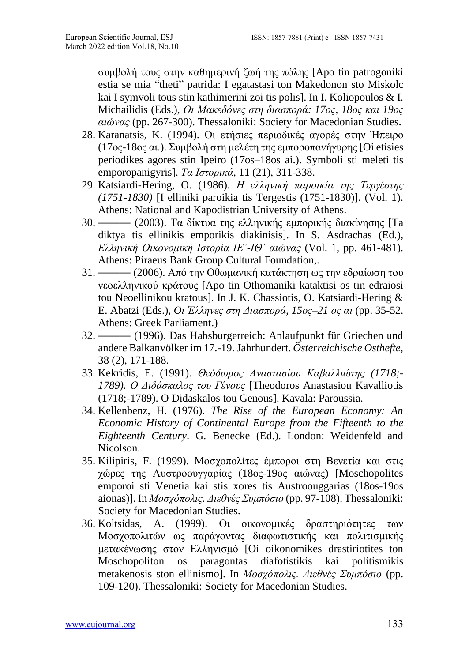συμβολή τους στην καθημερινή ζωή της πόλης [Apo tin patrogoniki estia se mia "theti" patrida: I egatastasi ton Makedonon sto Miskolc kai I symvoli tous stin kathimerini zoi tis polis]. In I. Koliopoulos & I. Michailidis (Eds.), *Οι Μακεδόνες στη διασπορά: 17ος, 18ος και 19ος αιώνας* (pp. 267-300). Thessaloniki: Society for Macedonian Studies.

- 28. Karanatsis, K. (1994). Οι ετήσιες περιοδικές αγορές στην Ήπειρο (17ος-18ος αι.). Συμβολή στη μελέτη της εμποροπανήγυρης [Oi etisies periodikes agores stin Ipeiro (17os–18os ai.). Symboli sti meleti tis emporopanigyris]. *Τα Ιστορικά*, 11 (21), 311-338.
- 29. Katsiardi-Hering, O. (1986). *Η ελληνική παροικία της Τεργέστης (1751-1830)* [I elliniki paroikia tis Tergestis (1751-1830)]. (Vol. 1). Athens: National and Kapodistrian University of Athens.
- 30. ――― (2003). Τα δίκτυα της ελληνικής εμπορικής διακίνησης [Ta diktya tis ellinikis emporikis diakinisis]. In S. Asdrachas (Ed.), *Ελληνική Οικονομική Ιστορία ΙΕˊ-ΙΘˊ αιώνας* (Vol. 1, pp. 461-481). Athens: Piraeus Bank Group Cultural Foundation,.
- 31. ――― (2006). Από την Οθωμανική κατάκτηση ως την εδραίωση του νεοελληνικού κράτους [Apo tin Othomaniki kataktisi os tin edraiosi tou Neoellinikou kratous]. In J. K. Chassiotis, O. Katsiardi-Hering & E. Abatzi (Eds.), *Oι Έλληνες στη Διασπορά, 15ος–21 ος αι* (pp. 35-52. Athens: Greek Parliament.)
- 32. ――― (1996). Das Habsburgerreich: Anlaufpunkt für Griechen und andere Balkanvölker im 17.-19. Jahrhundert. *Österreichische Osthefte*, 38 (2), 171-188.
- 33. Kekridis, E. (1991). *Θεόδωρος Αναστασίου Καβαλλιώτης (1718;- 1789). Ο Διδάσκαλος του Γένους* [Theodoros Anastasiou Kavalliotis (1718;-1789). O Didaskalos tou Genous]. Kavala: Paroussia.
- 34. Kellenbenz, H. (1976). *The Rise of the European Economy: An Economic History of Continental Europe from the Fifteenth to the Eighteenth Century*. G. Benecke (Ed.). London: Weidenfeld and Nicolson.
- 35. Kilipiris, F. (1999). Μοσχοπολίτες έμποροι στη Βενετία και στις χώρες της Αυστροουγγαρίας (18ος-19ος αιώνας) [Moschopolites emporoi sti Venetia kai stis xores tis Austroouggarias (18os-19os aionas)]. In *Μοσχόπολις. Διεθνές Συμπόσιο* (pp. 97-108). Thessaloniki: Society for Macedonian Studies.
- 36. Koltsidas, A. (1999). Οι οικονομικές δραστηριότητες των Μοσχοπολιτών ως παράγοντας διαφωτιστικής και πολιτισμικής μετακένωσης στον Ελληνισμό [Oi oikonomikes drastiriotites ton Moschopoliton os paragontas diafotistikis kai politismikis metakenosis ston ellinismo]. In *Μοσχόπολις. Διεθνές Συμπόσιο* (pp. 109-120). Thessaloniki: Society for Macedonian Studies.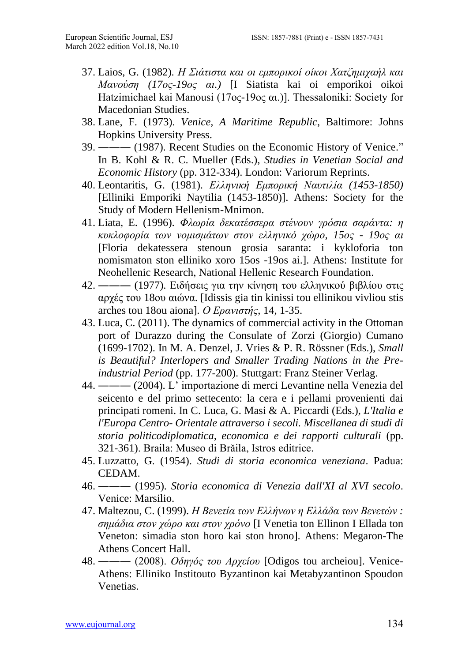- 37. Laios, G. (1982). *Η Σιάτιστα και οι εμπορικοί οίκοι Χατζημιχαήλ και Μανούση (17ος-19ος αι.)* [I Siatista kai oi emporikoi oikoi Hatzimichael kai Manousi (17ος-19ος αι.)]. Thessaloniki: Society for Macedonian Studies.
- 38. Lane, F. (1973). *Venice, A Maritime Republic*, Baltimore: Johns Hopkins University Press.
- 39. ――― (1987). Recent Studies on the Economic History of Venice." In B. Kohl & R. C. Mueller (Eds.), *Studies in Venetian Social and Economic History* (pp. 312-334). London: Variorum Reprints.
- 40. Leontaritis, G. (1981). *Ελληνική Εμπορική Ναυτιλία (1453-1850)* [Elliniki Emporiki Naytilia (1453-1850)]. Athens: Society for the Study of Modern Hellenism-Mnimon.
- 41. Liata, E. (1996). *Φλωρία δεκατέσσερα στένουν γρόσια σαράντα: η κυκλοφορία των νομισμάτων στον ελληνικό χώρο, 15ος - 19ος αι* [Floria dekatessera stenoun grosia saranta: i kykloforia ton nomismaton ston elliniko xoro 15os -19os ai.]. Athens: Institute for Neohellenic Research, National Hellenic Research Foundation.
- 42. ――― (1977). Ειδήσεις για την κίνηση του ελληνικού βιβλίου στις αρχές του 18ου αιώνα. [Idissis gia tin kinissi tou ellinikou vivliou stis arches tou 18ou aiona]. *Ο Ερανιστής*, 14, 1-35.
- 43. Luca, C. (2011). The dynamics of commercial activity in the Ottoman port of Durazzo during the Consulate of Zorzi (Giorgio) Cumano (1699-1702). In M. A. Denzel, J. Vries & P. R. Rössner (Eds.), *Small is Beautiful? Interlopers and Smaller Trading Nations in the Preindustrial Period* (pp. 177-200). Stuttgart: Franz Steiner Verlag.
- 44. ――― (2004). L' importazione di merci Levantine nella Venezia del seicento e del primo settecento: la cera e i pellami provenienti dai principati romeni. In C. Luca, G. Masi & A. Piccardi (Eds.), *L'Italia e l'Europa Centro- Orientale attraverso i secoli. Miscellanea di studi di storia politicodiplomatica, economica e dei rapporti culturali* (pp. 321-361). Braila: Museo di Brăila, Istros editrice.
- 45. Luzzatto, G. (1954). *Studi di storia economica veneziana*. Padua: CEDAM.
- 46. ――― (1995). *Storia economica di Venezia dall'XI al XVI secolo*. Venice: Marsilio.
- 47. Maltezou, C. (1999). *Η Βενετία των Ελλήνων η Ελλάδα των Βενετών : σημάδια στον χώρο και στον χρόνο* [I Venetia ton Ellinon I Ellada ton Veneton: simadia ston horo kai ston hrono]. Athens: Megaron-The Athens Concert Hall.
- 48. ――― (2008). *Οδηγός του Αρχείου* [Odigos tou archeiou]. Venice-Athens: Elliniko Institouto Byzantinon kai Metabyzantinon Spoudon Venetias.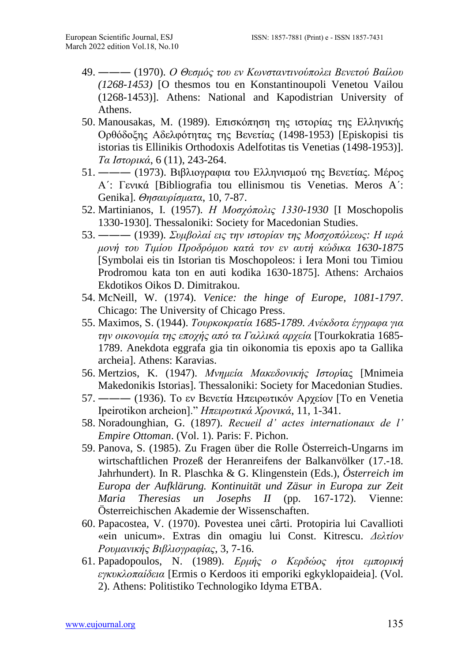- 49. ――― (1970). *Ο Θεσμός του εν Κωνσταντινούπολει Βενετού Βαίλου (1268-1453)* [O thesmos tou en Konstantinoupoli Venetou Vailou (1268-1453)]. Athens: National and Kapodistrian University of Athens.
- 50. Manousakas, Μ. (1989). Επισκόπηση της ιστορίας της Ελληνικής Ορθόδοξης Αδελφότητας της Βενετίας (1498-1953) [Episkopisi tis istorias tis Ellinikis Orthodoxis Adelfotitas tis Venetias (1498-1953)]. *Τα Ιστορικά*, 6 (11), 243-264.
- 51. ――― (1973). Βιβλιογραφια του Ελληνισμού της Βενετίας. Μέρος Α΄: Γενικά [Bibliografia tou ellinismou tis Venetias. Meros A΄: Genika]. *Θησαυρίσματα*, 10, 7-87.
- 52. Martinianos, I. (1957). *Η Μοσχόπολις 1330-1930* [I Moschopolis 1330-1930]. Thessaloniki: Society for Macedonian Studies.
- 53. ――― (1939). *Συμβολαί εις την ιστορίαν της Μοσχοπόλεως: Η ιερά μονή του Τιμίου Προδρόμου κατά τον εν αυτή κώδικα 1630-1875* [Symbolai eis tin Istorian tis Moschopoleos: i Iera Moni tou Timiou Prodromou kata ton en auti kodika 1630-1875]. Athens: Archaios Ekdotikos Oikos D. Dimitrakou.
- 54. McNeill, W. (1974). *Venice: the hinge of Europe, 1081-1797*. Chicago: The University of Chicago Press.
- 55. Maximos, S. (1944). *Τουρκοκρατία 1685-1789. Ανέκδοτα έγγραφα για την οικονομία της εποχής από τα Γαλλικά αρχεία* [Tourkokratia 1685- 1789. Anekdota eggrafa gia tin oikonomia tis epoxis apo ta Gallika archeia]. Athens: Karavias.
- 56. Mertzios, K. (1947). *Μνημεία Μακεδονικής Ιστορ*ίας [Mnimeia Makedonikis Istorias]. Thessaloniki: Society for Macedonian Studies.
- 57. ――― (1936). Το εν Βενετία Ηπειρωτικόν Αρχείον [To en Venetia Ipeirotikon archeion]." *Ηπειρωτικά Χρονικά*, 11, 1-341.
- 58. Noradounghian, G. (1897). *Recueil d' actes internationaux de l' Empire Ottoman*. (Vol. 1). Paris: F. Pichon.
- 59. Panova, S. (1985). Zu Fragen über die Rolle Österreich-Ungarns im wirtschaftlichen Prozeß der Heranreifens der Balkanvölker (17.-18. Jahrhundert). In R. Plaschka & G. Klingenstein (Eds.), *Österreich im Europa der Aufklärung. Kontinuität und Zäsur in Europa zur Zeit Maria Theresias un Josephs II* (pp. 167-172). Vienne: Österreichischen Akademie der Wissenschaften.
- 60. Papacostea, V. (1970). Povestea unei cârti. Protopiria lui Cavallioti «ein unicum». Extras din omagiu lui Const. Kitrescu. *Δελτίον Ρουμανικής Βιβλιογραφίας*, 3, 7-16.
- 61. Papadopoulos, N. (1989). *Ερμής ο Κερδώος ήτοι εμπορική εγκυκλοπαίδεια* [Ermis o Kerdoos iti emporiki egkyklopaideia]. (Vol. 2). Athens: Politistiko Technologiko Idyma ETBA.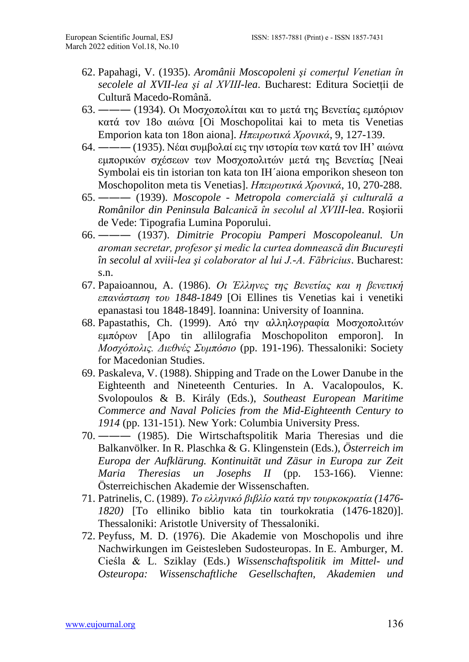- 62. Papahagi, V. (1935). *Aromânii Moscopoleni şi comerţul Venetian în secolele al XVII-lea şi al XVIII-lea*. Bucharest: Editura Societții de Cultură Macedo-Română.
- 63. ――― (1934). Οι Μοσχοπολίται και το μετά της Βενετίας εμπόριον κατά τον 18ο αιώνα [Oi Moschopolitai kai to meta tis Venetias Emporion kata ton 18on aiona]. *Ηπειρωτικά Χρονικά*, 9, 127-139.
- 64. ――― (1935). Νέαι συμβολαί εις την ιστορία των κατά τον ΙΗ' αιώνα εμπορικών σχέσεων των Μοσχοπολιτών μετά της Βενετίας [Neai Symbolai eis tin istorian ton kata ton IH'aiona emporikon sheseon ton Moschopoliton meta tis Venetias]. *Ηπειρωτικά Χρονικά*, 10, 270-288.
- 65. ――― (1939). *Moscopole - Metropola comercială şi culturală a Românilor din Peninsula Balcanică în secolul al XVIII-lea*. Roşiorii de Vede: Tipografia Lumina Poporului.
- 66. ――― (1937). *Dimitrie Procopiu Pamperi Moscopoleanul. Un aroman secretar, profesor şi medic la curtea domnească din Bucureşti în secolul al xviii-lea şi colaborator al lui J.-A. Fābricius*. Bucharest: s.n.
- 67. Papaioannou, A. (1986). *Οι Έλληνες της Βενετίας και η βενετική επανάσταση του 1848-1849* [Oi Ellines tis Venetias kai i venetiki epanastasi tou 1848-1849]. Ioannina: University of Ioannina.
- 68. Papastathis, Ch. (1999). Από την αλληλογραφία Μοσχοπολιτών εμπόρων [Apo tin allilografia Moschopoliton emporon]. In *Μοσχόπολις. Διεθνές Συμπόσιο* (pp. 191-196). Thessaloniki: Society for Macedonian Studies.
- 69. Paskaleva, V. (1988). Shipping and Trade on the Lower Danube in the Eighteenth and Nineteenth Centuries. In A. Vacalopoulos, K. Svolopoulos & B. Király (Eds.), *Southeast European Maritime Commerce and Naval Policies from the Mid-Eighteenth Century to 1914* (pp. 131-151). New York: Columbia University Press.
- 70. ――― (1985). Die Wirtschaftspolitik Maria Theresias und die Balkanvölker. In R. Plaschka & G. Klingenstein (Eds.), *Österreich im Europa der Aufklärung. Kontinuität und Zäsur in Europa zur Zeit Maria Theresias un Josephs II* (pp. 153-166). Vienne: Österreichischen Akademie der Wissenschaften.
- 71. Patrinelis, C. (1989). *Το ελληνικό βιβλίο κατά την τουρκοκρατία (1476- 1820)* [To elliniko biblio kata tin tourkokratia (1476-1820)]. Thessaloniki: Aristotle University of Thessaloniki.
- 72. Peyfuss, M. D. (1976). Die Akademie von Moschopolis und ihre Nachwirkungen im Geistesleben Sudosteuropas. In E. Amburger, M. Cieśla & L. Sziklay (Eds.) *Wissenschaftspolitik im Mittel- und Osteuropa: Wissenschaftliche Gesellschaften, Akademien und*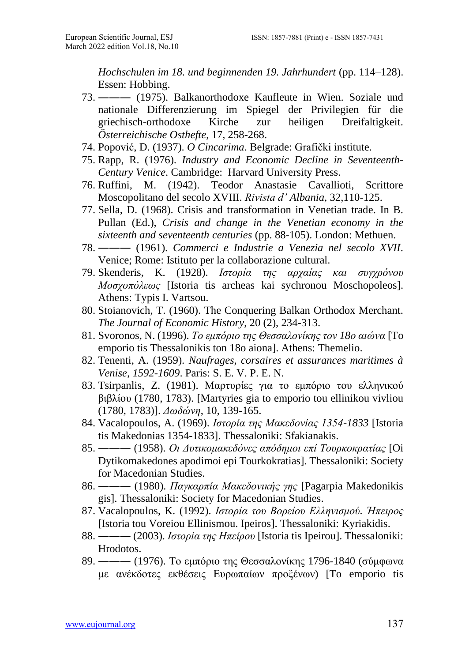*Hochschulen im 18. und beginnenden 19. Jahrhundert* (pp. 114–128). Essen: Hobbing.

- 73. ――― (1975). Balkanorthodoxe Kaufleute in Wien. Soziale und nationale Differenzierung im Spiegel der Privilegien für die griechisch-orthodoxe Kirche zur heiligen Dreifaltigkeit. *Österreichische Osthefte*, 17, 258-268.
- 74. Popović, D. (1937). *O Cincarima*. Belgrade: Grafički institute.
- 75. Rapp, R. (1976). *Industry and Economic Decline in Seventeenth-Century Venice*. Cambridge: Harvard University Press.
- 76. Ruffini, M. (1942). Teodor Anastasie Cavallioti, Scrittore Moscopolitano del secolo XVIII. *Rivista d' Albania*, 32,110-125.
- 77. Sella, D. (1968). Crisis and transformation in Venetian trade. In B. Pullan (Ed.), *Crisis and change in the Venetian economy in the sixteenth and seventeenth centuries* (pp. 88-105). London: Methuen.
- 78. ――― (1961). *Commerci e Industrie a Venezia nel secolo XVII*. Venice; Rome: Istituto per la collaborazione cultural.
- 79. Skenderis, K. (1928). *Ιστορία της αρχαίας και συγχρόνου Μοσχοπόλεως* [Istoria tis archeas kai sychronou Moschopoleos]. Athens: Typis I. Vartsou.
- 80. Stoianovich, T. (1960). The Conquering Balkan Orthodox Merchant. *The Journal of Economic History*, 20 (2), 234-313.
- 81. Svoronos, N. (1996). *Το εμπόριο της Θεσσαλονίκης τον 18ο αιώνα* [To emporio tis Thessalonikis ton 18o aiona]. Athens: Themelio.
- 82. Tenenti, A. (1959). *Naufrages, corsaires et assurances maritimes à Venise, 1592-1609*. Paris: S. E. V. P. E. N.
- 83. Tsirpanlis, Z. (1981). Μαρτυρίες για το εμπόριο του ελληνικού βιβλίου (1780, 1783). [Martyries gia to emporio tou ellinikou vivliou (1780, 1783)]. *Δωδώνη*, 10, 139-165.
- 84. Vacalopoulos, A. (1969). *Ιστορία της Μακεδονίας 1354-1833* [Istoria tis Makedonias 1354-1833]. Thessaloniki: Sfakianakis.
- 85. ――― (1958). *Οι Δυτικομακεδόνες απόδημοι επί Τουρκοκρατίας* [Oi Dytikomakedones apodimoi epi Tourkokratias]. Thessaloniki: Society for Macedonian Studies.
- 86. ――― (1980). *Παγκαρπία Μακεδονικής γης* [Pagarpia Makedonikis gis]. Thessaloniki: Society for Macedonian Studies.
- 87. Vacalopoulos, K. (1992). *Ιστορία του Βορείου Ελληνισμού. Ήπειρος* [Istoria tou Voreiou Ellinismou. Ιpeiros]. Thessaloniki: Kyriakidis.
- 88. ――― (2003). *Ιστορία της Ηπείρου* [Istoria tis Ιpeirou]. Thessaloniki: Hrodotos.
- 89. ――― (1976). Το εμπόριο της Θεσσαλονίκης 1796-1840 (σύμφωνα με ανέκδοτες εκθέσεις Ευρωπαίων προξένων) [To emporio tis